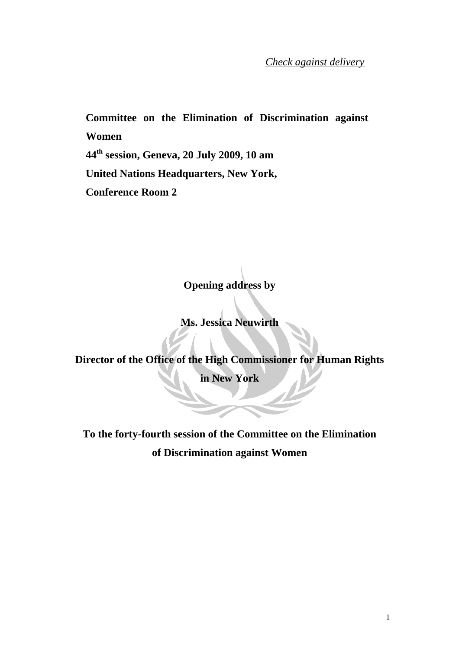*Check against delivery*

**Committee on the Elimination of Discrimination against Women 44th session, Geneva, 20 July 2009, 10 am United Nations Headquarters, New York, Conference Room 2** 

**Opening address by** 

**Ms. Jessica Neuwirth** 

**Director of the Office of the High Commissioner for Human Rights** 

**in New York** 

**To the forty-fourth session of the Committee on the Elimination of Discrimination against Women**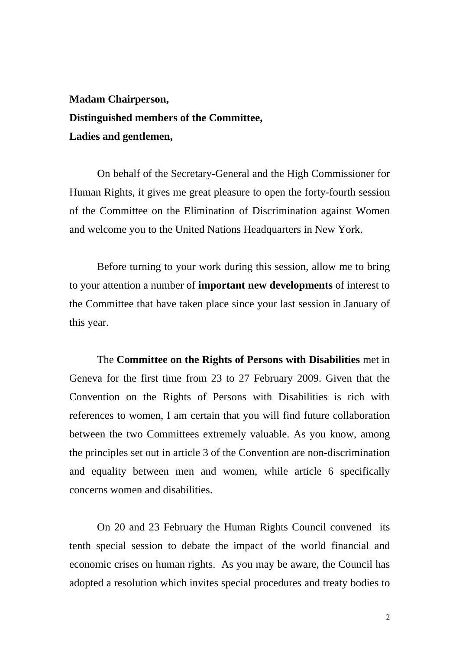## **Madam Chairperson, Distinguished members of the Committee, Ladies and gentlemen,**

On behalf of the Secretary-General and the High Commissioner for Human Rights, it gives me great pleasure to open the forty-fourth session of the Committee on the Elimination of Discrimination against Women and welcome you to the United Nations Headquarters in New York.

Before turning to your work during this session, allow me to bring to your attention a number of **important new developments** of interest to the Committee that have taken place since your last session in January of this year.

The **Committee on the Rights of Persons with Disabilities** met in Geneva for the first time from 23 to 27 February 2009. Given that the Convention on the Rights of Persons with Disabilities is rich with references to women, I am certain that you will find future collaboration between the two Committees extremely valuable. As you know, among the principles set out in article 3 of the Convention are non-discrimination and equality between men and women, while article 6 specifically concerns women and disabilities.

On 20 and 23 February the Human Rights Council convened its tenth special session to debate the impact of the world financial and economic crises on human rights. As you may be aware, the Council has adopted a resolution which invites special procedures and treaty bodies to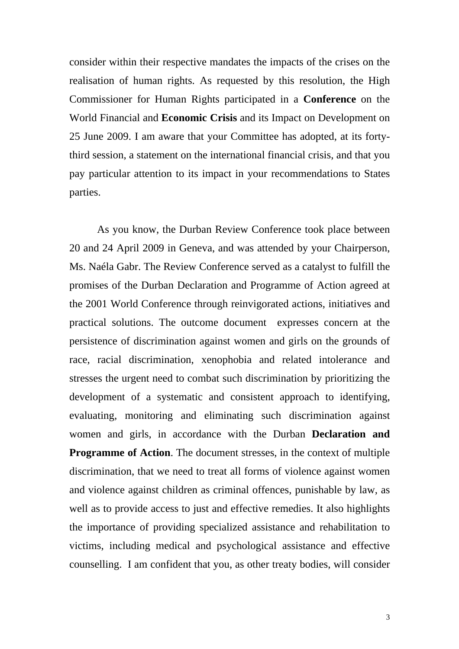consider within their respective mandates the impacts of the crises on the realisation of human rights. As requested by this resolution, the High Commissioner for Human Rights participated in a **Conference** on the World Financial and **Economic Crisis** and its Impact on Development on 25 June 2009. I am aware that your Committee has adopted, at its fortythird session, a statement on the international financial crisis, and that you pay particular attention to its impact in your recommendations to States parties.

 As you know, the Durban Review Conference took place between 20 and 24 April 2009 in Geneva, and was attended by your Chairperson, Ms. Naéla Gabr. The Review Conference served as a catalyst to fulfill the promises of the [Durban Declaration and Programme of Action](http://www.un.org/durbanreview2009/ddpa.shtml) agreed at the 2001 World Conference through reinvigorated actions, initiatives and practical solutions. The outcome document expresses concern at the persistence of discrimination against women and girls on the grounds of race, racial discrimination, xenophobia and related intolerance and stresses the urgent need to combat such discrimination by prioritizing the development of a systematic and consistent approach to identifying, evaluating, monitoring and eliminating such discrimination against women and girls, in accordance with the Durban **Declaration and Programme of Action**. The document stresses, in the context of multiple discrimination, that we need to treat all forms of violence against women and violence against children as criminal offences, punishable by law, as well as to provide access to just and effective remedies. It also highlights the importance of providing specialized assistance and rehabilitation to victims, including medical and psychological assistance and effective counselling. I am confident that you, as other treaty bodies, will consider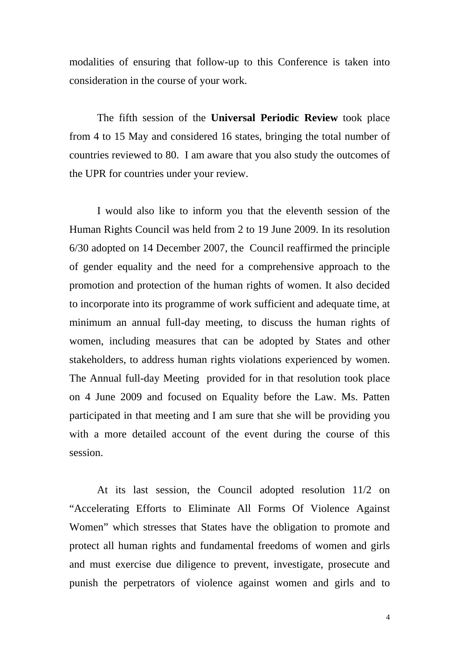modalities of ensuring that follow-up to this Conference is taken into consideration in the course of your work.

The fifth session of the **Universal Periodic Review** took place from 4 to 15 May and considered 16 states, bringing the total number of countries reviewed to 80. I am aware that you also study the outcomes of the UPR for countries under your review.

 I would also like to inform you that the eleventh session of the Human Rights Council was held from 2 to 19 June 2009. In its resolution 6/30 adopted on 14 December 2007, the Council reaffirmed the principle of gender equality and the need for a comprehensive approach to the promotion and protection of the human rights of women. It also decided to incorporate into its programme of work sufficient and adequate time, at minimum an annual full-day meeting, to discuss the human rights of women, including measures that can be adopted by States and other stakeholders, to address human rights violations experienced by women. The Annual full-day Meeting provided for in that resolution took place on 4 June 2009 and focused on Equality before the Law. Ms. Patten participated in that meeting and I am sure that she will be providing you with a more detailed account of the event during the course of this session.

 At its last session, the Council adopted resolution 11/2 on "Accelerating Efforts to Eliminate All Forms Of Violence Against Women" which stresses that States have the obligation to promote and protect all human rights and fundamental freedoms of women and girls and must exercise due diligence to prevent, investigate, prosecute and punish the perpetrators of violence against women and girls and to

4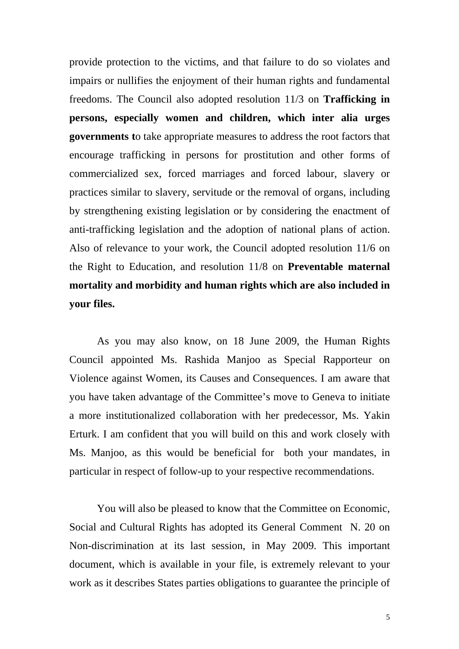provide protection to the victims, and that failure to do so violates and impairs or nullifies the enjoyment of their human rights and fundamental freedoms. The Council also adopted resolution 11/3 on **Trafficking in persons, especially women and children, which inter alia urges governments t**o take appropriate measures to address the root factors that encourage trafficking in persons for prostitution and other forms of commercialized sex, forced marriages and forced labour, slavery or practices similar to slavery, servitude or the removal of organs, including by strengthening existing legislation or by considering the enactment of anti-trafficking legislation and the adoption of national plans of action. Also of relevance to your work, the Council adopted resolution 11/6 on the Right to Education, and resolution 11/8 on **Preventable maternal mortality and morbidity and human rights which are also included in your files.** 

 As you may also know, on 18 June 2009, the [Human Rights](http://www2.ohchr.org/english/bodies/hrcouncil/)  [Council](http://www2.ohchr.org/english/bodies/hrcouncil/) appointed Ms. Rashida Manjoo as Special Rapporteur on Violence against Women, its Causes and Consequences. I am aware that you have taken advantage of the Committee's move to Geneva to initiate a more institutionalized collaboration with her predecessor, Ms. Yakin Erturk. I am confident that you will build on this and work closely with Ms. Manjoo, as this would be beneficial for both your mandates, in particular in respect of follow-up to your respective recommendations.

 You will also be pleased to know that the Committee on Economic, Social and Cultural Rights has adopted its General Comment N. 20 on Non-discrimination at its last session, in May 2009. This important document, which is available in your file, is extremely relevant to your work as it describes States parties obligations to guarantee the principle of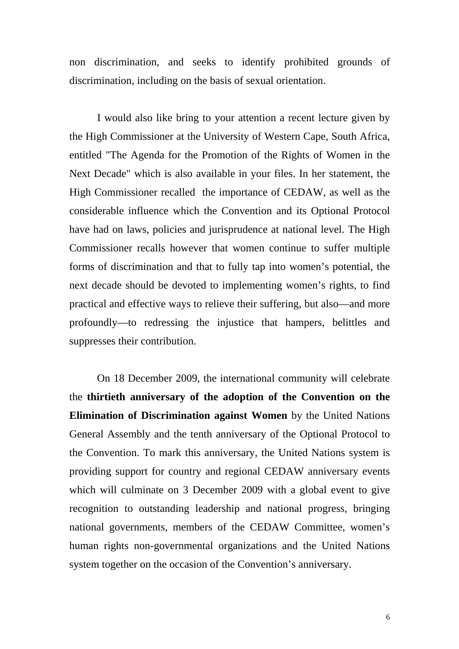non discrimination, and seeks to identify prohibited grounds of discrimination, including on the basis of sexual orientation.

I would also like bring to your attention a recent lecture given by the High Commissioner at the University of Western Cape, South Africa, entitled "The Agenda for the Promotion of the Rights of Women in the Next Decade" which is also available in your files. In her statement, the High Commissioner recalled the importance of CEDAW, as well as the considerable influence which the Convention and its Optional Protocol have had on laws, policies and jurisprudence at national level. The High Commissioner recalls however that women continue to suffer multiple forms of discrimination and that to fully tap into women's potential, the next decade should be devoted to implementing women's rights, to find practical and effective ways to relieve their suffering, but also—and more profoundly—to redressing the injustice that hampers, belittles and suppresses their contribution.

 On 18 December 2009, the international community will celebrate the **thirtieth anniversary of the adoption of the Convention on the Elimination of Discrimination against Women** by the United Nations General Assembly and the tenth anniversary of the Optional Protocol to the Convention. To mark this anniversary, the United Nations system is providing support for country and regional CEDAW anniversary events which will culminate on 3 December 2009 with a global event to give recognition to outstanding leadership and national progress, bringing national governments, members of the CEDAW Committee, women's human rights non-governmental organizations and the United Nations system together on the occasion of the Convention's anniversary.